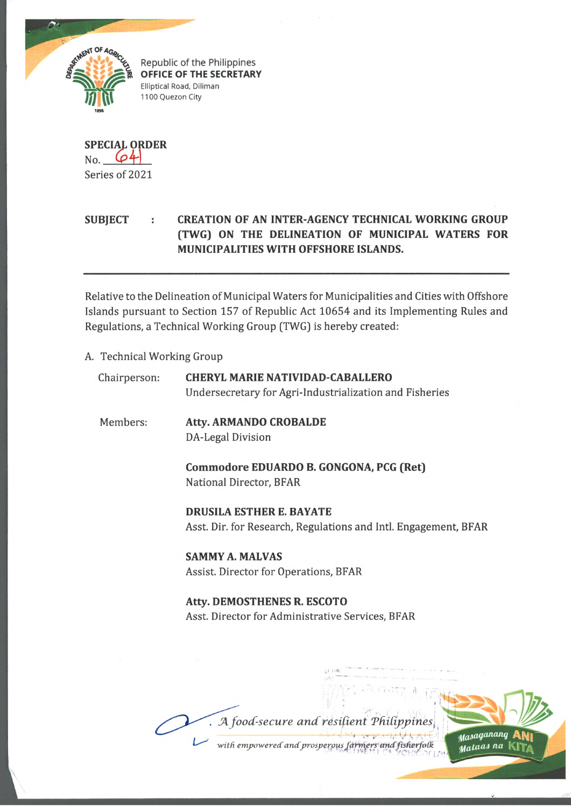

Republic of the Philippines **OFFICE OF THE SECRETARY** Elliptical Road, Diliman 1100 Quezon City

**SPECIAL ORDER** No. *Cpi±* Series of 2021

## **SUBJECT : CREATION OF AN INTER-AGENCY TECHNICAL WORKING GROUP (TWG) ON THE DELINEATION OF MUNICIPAL WATERS FOR MUNICIPALITIES WITH OFFSHORE ISLANDS.**

Relative to the Delineation of Municipal Waters for Municipalities and Cities with Offshore Islands pursuant to Section 157 of Republic Act 10654 and its Implementing Rules and Regulations, a Technical Working Group (TWG) is hereby created:

A. Technical Working Group

| Chairperson: | <b>CHERYL MARIE NATIVIDAD-CABALLERO</b><br>Undersecretary for Agri-Industrialization and Fisheries |
|--------------|----------------------------------------------------------------------------------------------------|
| Members:     | <b>Atty. ARMANDO CROBALDE</b><br>DA-Legal Division                                                 |
|              | Commodore EDUARDO B. GONGONA, PCG (Ret)<br>National Director, BFAR                                 |
|              | <b>DRUSILA ESTHER E. BAYATE</b><br>Asst. Dir. for Research, Regulations and Intl. Engagement, BFAR |
|              | <b>SAMMY A. MALVAS</b><br>Assist. Director for Operations, BFAR                                    |
|              | <b>Atty. DEMOSTHENES R. ESCOTO</b><br>Asst. Director for Administrative Services, BFAR             |
|              |                                                                                                    |
|              | a food cocurs and rocitions                                                                        |

with empowered and prosperous farmers and fisherfolk

Masaganang

 $M$ ataas na  $\vert \vert$